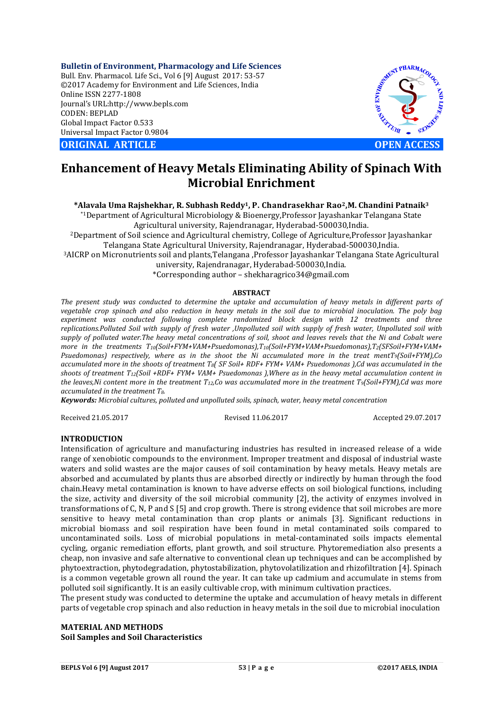**Bulletin of Environment, Pharmacology and Life Sciences** Bull. Env. Pharmacol. Life Sci., Vol 6 [9] August 2017: 53-57 ©2017 Academy for Environment and Life Sciences, India Online ISSN 2277-1808 Journal's URL:http://www.bepls.com CODEN: BEPLAD Global Impact Factor 0.533 Universal Impact Factor 0.9804

**CORIGINAL ARTICLE CONSUMING ARTICLE CONSUMING A REPORT OF A LIGHT AND A REPORT OF A LIGHT AND A LIGHT AND A LIGHT AND A LIGHT AND A LIGHT AND A LIGHT AND A LIGHT AND A LIGHT AND A LIGHT AND A LIGHT AND A LIGHT AND A L** 



# **Enhancement of Heavy Metals Eliminating Ability of Spinach With Microbial Enrichment**

## **\*Alavala Uma Rajshekhar, R. Subhash Reddy1, P. Chandrasekhar Rao2,M. Chandini Patnaik3**

\*1Department of Agricultural Microbiology & Bioenergy,Professor Jayashankar Telangana State Agricultural university, Rajendranagar, Hyderabad-500030,India.

2Department of Soil science and Agricultural chemistry, College of Agriculture,Professor Jayashankar Telangana State Agricultural University, Rajendranagar, Hyderabad-500030,India.

3AICRP on Micronutrients soil and plants,Telangana ,Professor Jayashankar Telangana State Agricultural

university, Rajendranagar, Hyderabad-500030,India.

\*Corresponding author – shekharagrico34@gmail.com

## **ABSTRACT**

*The present study was conducted to determine the uptake and accumulation of heavy metals in different parts of vegetable crop spinach and also reduction in heavy metals in the soil due to microbial inoculation. The poly bag experiment was conducted following complete randomized block design with 12 treatments and three replications.Polluted Soil with supply of fresh water ,Unpolluted soil with supply of fresh water, Unpolluted soil with supply of polluted water.The heavy metal concentrations of soil, shoot and leaves revels that the Ni and Cobalt were more in the treatments T10(Soil+FYM+VAM+Psuedomonas),T10(Soil+FYM+VAM+Psuedomonas),T2(SFSoil+FYM+VAM+ Psuedomonas) respectively, where as in the shoot the Ni accumulated more in the treat mentT9(Soil+FYM),Co accumulated more in the shoots of treatment T8( SF Soil+ RDF+ FYM+ VAM+ Psuedomonas ),Cd was accumulated in the shoots of treatment T12(Soil +RDF+ FYM+ VAM+ Psuedomonas ),Where as in the heavy metal accumulation content in the leaves,Ni content more in the treatment T12,Co was accumulated more in the treatment T9(Soil+FYM),Cd was more accumulated in the treatment T8.*

*Keywords: Microbial cultures, polluted and unpolluted soils, spinach, water, heavy metal concentration*

Received 21.05.2017 Revised 11.06.2017 Accepted 29.07.2017

# **INTRODUCTION**

Intensification of agriculture and manufacturing industries has resulted in increased release of a wide range of xenobiotic compounds to the environment. Improper treatment and disposal of industrial waste waters and solid wastes are the major causes of soil contamination by heavy metals. Heavy metals are absorbed and accumulated by plants thus are absorbed directly or indirectly by human through the food chain.Heavy metal contamination is known to have adverse effects on soil biological functions, including the size, activity and diversity of the soil microbial community [2], the activity of enzymes involved in transformations of C, N, P and S [5] and crop growth. There is strong evidence that soil microbes are more sensitive to heavy metal contamination than crop plants or animals [3]. Significant reductions in microbial biomass and soil respiration have been found in metal contaminated soils compared to uncontaminated soils. Loss of microbial populations in metal-contaminated soils impacts elemental cycling, organic remediation efforts, plant growth, and soil structure. Phytoremediation also presents a cheap, non invasive and safe alternative to conventional clean up techniques and can be accomplished by phytoextraction, phytodegradation, phytostabilization, phytovolatilization and rhizofiltration [4]. Spinach is a common vegetable grown all round the year. It can take up cadmium and accumulate in stems from polluted soil significantly. It is an easily cultivable crop, with minimum cultivation practices.

The present study was conducted to determine the uptake and accumulation of heavy metals in different parts of vegetable crop spinach and also reduction in heavy metals in the soil due to microbial inoculation

# **MATERIAL AND METHODS Soil Samples and Soil Characteristics**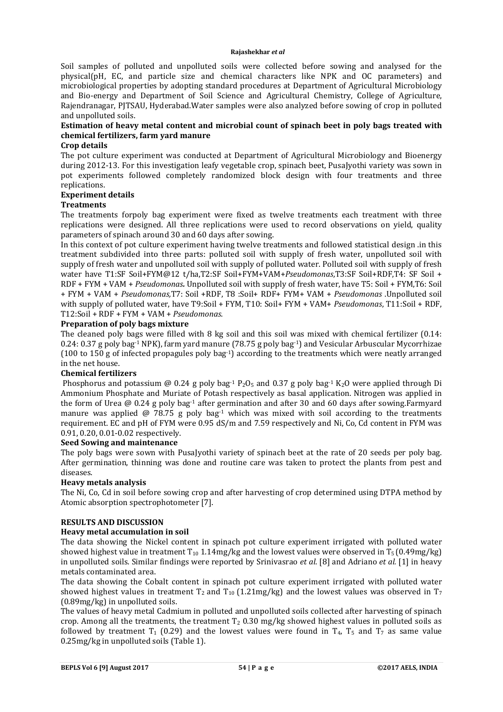Soil samples of polluted and unpolluted soils were collected before sowing and analysed for the physical(pH, EC, and particle size and chemical characters like NPK and OC parameters) and microbiological properties by adopting standard procedures at Department of Agricultural Microbiology and Bio-energy and Department of Soil Science and Agricultural Chemistry, College of Agriculture, Rajendranagar, PJTSAU, Hyderabad.Water samples were also analyzed before sowing of crop in polluted and unpolluted soils.

# **Estimation of heavy metal content and microbial count of spinach beet in poly bags treated with chemical fertilizers, farm yard manure**

# **Crop details**

The pot culture experiment was conducted at Department of Agricultural Microbiology and Bioenergy during 2012-13. For this investigation leafy vegetable crop, spinach beet, PusaJyothi variety was sown in pot experiments followed completely randomized block design with four treatments and three replications.

## **Experiment details**

# **Treatments**

The treatments forpoly bag experiment were fixed as twelve treatments each treatment with three replications were designed. All three replications were used to record observations on yield, quality parameters of spinach around 30 and 60 days after sowing.

In this context of pot culture experiment having twelve treatments and followed statistical design .in this treatment subdivided into three parts: polluted soil with supply of fresh water, unpolluted soil with supply of fresh water and unpolluted soil with supply of polluted water. Polluted soil with supply of fresh water have T1:SF Soil+FYM@12 t/ha,T2:SF Soil+FYM+VAM+*Pseudomonas*,T3:SF Soil+RDF,T4: SF Soil + RDF + FYM + VAM + *Pseudomonas.* Unpolluted soil with supply of fresh water, have T5: Soil + FYM,T6: Soil + FYM + VAM + *Pseudomonas,*T7: Soil +RDF, T8 :Soil+ RDF+ FYM+ VAM + *Pseudomonas* .Unpolluted soil with supply of polluted water, have T9:Soil + FYM, T10: Soil+ FYM + VAM+ *Pseudomonas*, T11:Soil + RDF, T12:Soil + RDF + FYM + VAM + *Pseudomonas*.

## **Preparation of poly bags mixture**

The cleaned poly bags were filled with 8 kg soil and this soil was mixed with chemical fertilizer (0.14: 0.24: 0.37 g poly bag-1 NPK), farm yard manure (78.75 g poly bag-1) and Vesicular Arbuscular Mycorrhizae (100 to 150 g of infected propagules poly bag-1) according to the treatments which were neatly arranged in the net house.

## **Chemical fertilizers**

Phosphorus and potassium @ 0.24 g poly bag<sup>-1</sup>  $P_2O_5$  and 0.37 g poly bag<sup>-1</sup> K<sub>2</sub>O were applied through Di Ammonium Phosphate and Muriate of Potash respectively as basal application. Nitrogen was applied in the form of Urea  $\omega$  0.24 g poly bag-1 after germination and after 30 and 60 days after sowing.Farmyard manure was applied  $\omega$  78.75 g poly bag<sup>-1</sup> which was mixed with soil according to the treatments requirement. EC and pH of FYM were 0.95 dS/m and 7.59 respectively and Ni, Co, Cd content in FYM was 0.91, 0.20, 0.01-0.02 respectively.

# **Seed Sowing and maintenance**

The poly bags were sown with PusaJyothi variety of spinach beet at the rate of 20 seeds per poly bag. After germination, thinning was done and routine care was taken to protect the plants from pest and diseases.

## **Heavy metals analysis**

The Ni, Co, Cd in soil before sowing crop and after harvesting of crop determined using DTPA method by Atomic absorption spectrophotometer [7].

## **RESULTS AND DISCUSSION**

# **Heavy metal accumulation in soil**

The data showing the Nickel content in spinach pot culture experiment irrigated with polluted water showed highest value in treatment  $T_{10}$  1.14mg/kg and the lowest values were observed in  $T_5$  (0.49mg/kg) in unpolluted soils. Similar findings were reported by Srinivasrao *et al*. [8] and Adriano *et al.* [1] in heavy metals contaminated area.

The data showing the Cobalt content in spinach pot culture experiment irrigated with polluted water showed highest values in treatment  $T_2$  and  $T_{10}$  (1.21mg/kg) and the lowest values was observed in  $T_7$ (0.89mg/kg) in unpolluted soils.

The values of heavy metal Cadmium in polluted and unpolluted soils collected after harvesting of spinach crop. Among all the treatments, the treatment  $T_2$  0.30 mg/kg showed highest values in polluted soils as followed by treatment  $T_1$  (0.29) and the lowest values were found in  $T_4$ ,  $T_5$  and  $T_7$  as same value 0.25mg/kg in unpolluted soils (Table 1).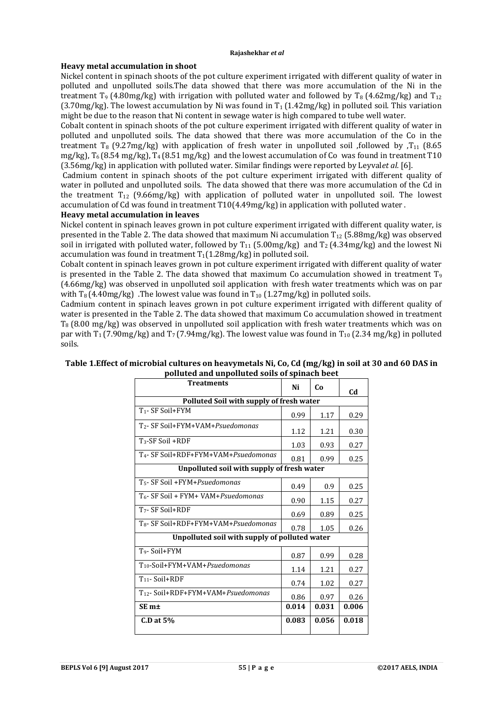# **Heavy metal accumulation in shoot**

Nickel content in spinach shoots of the pot culture experiment irrigated with different quality of water in polluted and unpolluted soils.The data showed that there was more accumulation of the Ni in the treatment T<sub>9</sub> (4.80mg/kg) with irrigation with polluted water and followed by T<sub>8</sub> (4.62mg/kg) and T<sub>12</sub>  $(3.70 \text{mg/kg})$ . The lowest accumulation by Ni was found in T<sub>1</sub> (1.42mg/kg) in polluted soil. This variation might be due to the reason that Ni content in sewage water is high compared to tube well water.

Cobalt content in spinach shoots of the pot culture experiment irrigated with different quality of water in polluted and unpolluted soils. The data showed that there was more accumulation of the Co in the treatment T<sub>8</sub> (9.27mg/kg) with application of fresh water in unpolluted soil ,followed by .T<sub>11</sub> (8.65) mg/kg),  $T_6$  (8.54 mg/kg),  $T_4$  (8.51 mg/kg) and the lowest accumulation of Co was found in treatment T10 (3.56mg/kg) in application with polluted water. Similar findings were reported by Leyval*et al.* [6].

Cadmium content in spinach shoots of the pot culture experiment irrigated with different quality of water in polluted and unpolluted soils. The data showed that there was more accumulation of the Cd in the treatment  $T_{12}$  (9.66mg/kg) with application of polluted water in unpolluted soil. The lowest accumulation of Cd was found in treatment T10(4.49mg/kg) in application with polluted water .

# **Heavy metal accumulation in leaves**

Nickel content in spinach leaves grown in pot culture experiment irrigated with different quality water, is presented in the Table 2. The data showed that maximum Ni accumulation  $T_{12}$  (5.88mg/kg) was observed soil in irrigated with polluted water, followed by  $T_{11}$  (5.00mg/kg) and  $T_2$  (4.34mg/kg) and the lowest Ni accumulation was found in treatment  $T_1(1.28mg/kg)$  in polluted soil.

Cobalt content in spinach leaves grown in pot culture experiment irrigated with different quality of water is presented in the Table 2. The data showed that maximum Co accumulation showed in treatment  $T<sub>9</sub>$ (4.66mg/kg) was observed in unpolluted soil application with fresh water treatments which was on par with  $T_8(4.40 \text{mg/kg})$ . The lowest value was found in  $T_{10}$  (1.27mg/kg) in polluted soils.

Cadmium content in spinach leaves grown in pot culture experiment irrigated with different quality of water is presented in the Table 2. The data showed that maximum Co accumulation showed in treatment  $T_8$  (8.00 mg/kg) was observed in unpolluted soil application with fresh water treatments which was on par with  $T_1$  (7.90mg/kg) and  $T_7$  (7.94mg/kg). The lowest value was found in  $T_{10}$  (2.34 mg/kg) in polluted soils.

| <b>Treatments</b>                                | Ni    | Co    | C <sub>d</sub> |  |  |  |
|--------------------------------------------------|-------|-------|----------------|--|--|--|
| Polluted Soil with supply of fresh water         |       |       |                |  |  |  |
| T <sub>1</sub> - SF Soil+FYM                     | 0.99  | 1.17  | 0.29           |  |  |  |
| T <sub>2</sub> - SF Soil+FYM+VAM+Psuedomonas     | 1.12  | 1.21  | 0.30           |  |  |  |
| $T_3$ -SF Soil +RDF                              | 1.03  | 0.93  | 0.27           |  |  |  |
| T <sub>4</sub> - SF Soil+RDF+FYM+VAM+Psuedomonas | 0.81  | 0.99  | 0.25           |  |  |  |
| Unpolluted soil with supply of fresh water       |       |       |                |  |  |  |
| T <sub>5</sub> - SF Soil +FYM+Psuedomonas        | 0.49  | 0.9   | 0.25           |  |  |  |
| T <sub>6</sub> - SF Soil + FYM+ VAM+Psuedomonas  | 0.90  | 1.15  | 0.27           |  |  |  |
| T <sub>7</sub> - SF Soil+RDF                     | 0.69  | 0.89  | 0.25           |  |  |  |
| T <sub>8</sub> - SF Soil+RDF+FYM+VAM+Psuedomonas | 0.78  | 1.05  | 0.26           |  |  |  |
| Unpolluted soil with supply of polluted water    |       |       |                |  |  |  |
| T <sub>9</sub> -Soil+FYM                         | 0.87  | 0.99  | 0.28           |  |  |  |
| T <sub>10</sub> -Soil+FYM+VAM+Psuedomonas        | 1.14  | 1.21  | 0.27           |  |  |  |
| $T_{11}$ - Soil+RDF                              | 0.74  | 1.02  | 0.27           |  |  |  |
| T <sub>12</sub> - Soil+RDF+FYM+VAM+Psuedomonas   | 0.86  | 0.97  | 0.26           |  |  |  |
| SE <sub>m±</sub>                                 | 0.014 | 0.031 | 0.006          |  |  |  |
| $C.D$ at $5%$                                    | 0.083 | 0.056 | 0.018          |  |  |  |

## **Table 1.Effect of microbial cultures on heavymetals Ni, Co, Cd (mg/kg) in soil at 30 and 60 DAS in polluted and unpolluted soils of spinach beet**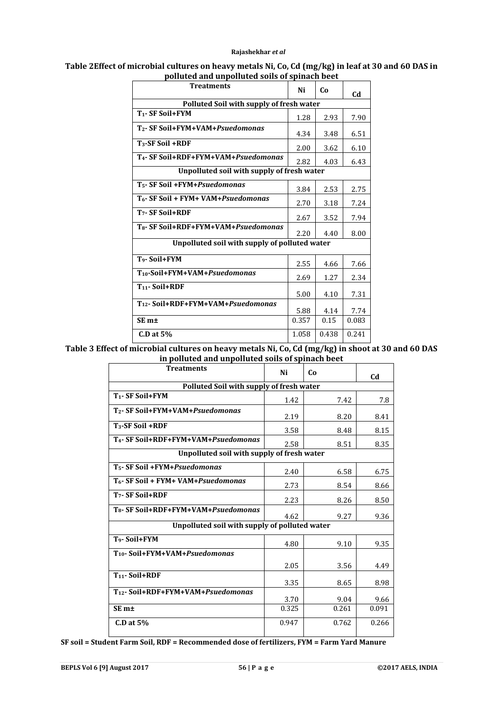#### **Table 2Effect of microbial cultures on heavy metals Ni, Co, Cd (mg/kg) in leaf at 30 and 60 DAS in polluted and unpolluted soils of spinach beet**

|                                                  | описси ини инрописси зонз от эрнисн всес |       |       |  |  |  |
|--------------------------------------------------|------------------------------------------|-------|-------|--|--|--|
| <b>Treatments</b>                                | Ni                                       | Co    | Cd    |  |  |  |
| Polluted Soil with supply of fresh water         |                                          |       |       |  |  |  |
| T <sub>1</sub> -SF Soil+FYM                      | 1.28                                     | 2.93  | 7.90  |  |  |  |
| T <sub>2</sub> - SF Soil+FYM+VAM+Psuedomonas     | 4.34                                     | 3.48  | 6.51  |  |  |  |
| $T_3$ -SF Soil +RDF                              | 2.00                                     | 3.62  | 6.10  |  |  |  |
| T <sub>4</sub> - SF Soil+RDF+FYM+VAM+Psuedomonas | 2.82                                     | 4.03  | 6.43  |  |  |  |
| Unpolluted soil with supply of fresh water       |                                          |       |       |  |  |  |
| T <sub>5</sub> - SF Soil +FYM+Psuedomonas        | 3.84                                     | 2.53  | 2.75  |  |  |  |
| T <sub>6</sub> - SF Soil + FYM+ VAM+Psuedomonas  | 2.70                                     | 3.18  | 7.24  |  |  |  |
| $T7$ - SF Soil+RDF                               | 2.67                                     | 3.52  | 7.94  |  |  |  |
| T <sub>8</sub> - SF Soil+RDF+FYM+VAM+Psuedomonas | 2.20                                     | 4.40  | 8.00  |  |  |  |
| Unpolluted soil with supply of polluted water    |                                          |       |       |  |  |  |
| T <sub>9</sub> -Soil+FYM                         | 2.55                                     | 4.66  | 7.66  |  |  |  |
| T <sub>10</sub> -Soil+FYM+VAM+Psuedomonas        | 2.69                                     | 1.27  | 2.34  |  |  |  |
| $T_{11}$ - Soil+RDF                              | 5.00                                     | 4.10  | 7.31  |  |  |  |
| T <sub>12</sub> - Soil+RDF+FYM+VAM+Psuedomonas   | 5.88                                     | 4.14  | 7.74  |  |  |  |
| SE <sub>m<sup>±</sup></sub>                      | 0.357                                    | 0.15  | 0.083 |  |  |  |
| $C.D$ at $5%$                                    | 1.058                                    | 0.438 | 0.241 |  |  |  |

**Table 3 Effect of microbial cultures on heavy metals Ni, Co, Cd (mg/kg) in shoot at 30 and 60 DAS in polluted and unpolluted soils of spinach beet**

| <b>Treatments</b>                                | Ni    | Co    | Cd    |  |  |  |
|--------------------------------------------------|-------|-------|-------|--|--|--|
| Polluted Soil with supply of fresh water         |       |       |       |  |  |  |
| T <sub>1</sub> - SF Soil+FYM                     | 1.42  | 7.42  | 7.8   |  |  |  |
| T <sub>2</sub> - SF Soil+FYM+VAM+Psuedomonas     | 2.19  | 8.20  | 8.41  |  |  |  |
| $T_3$ -SF Soil +RDF                              | 3.58  | 8.48  | 8.15  |  |  |  |
| T <sub>4</sub> - SF Soil+RDF+FYM+VAM+Psuedomonas | 2.58  | 8.51  | 8.35  |  |  |  |
| Unpolluted soil with supply of fresh water       |       |       |       |  |  |  |
| T <sub>5</sub> - SF Soil +FYM+Psuedomonas        | 2.40  | 6.58  | 6.75  |  |  |  |
| T <sub>6</sub> - SF Soil + FYM+ VAM+Psuedomonas  | 2.73  | 8.54  | 8.66  |  |  |  |
| $T7$ - SF Soil+RDF                               | 2.23  | 8.26  | 8.50  |  |  |  |
| T <sub>8</sub> - SF Soil+RDF+FYM+VAM+Psuedomonas | 4.62  | 9.27  | 9.36  |  |  |  |
| Unpolluted soil with supply of polluted water    |       |       |       |  |  |  |
| T <sub>9</sub> -Soil+FYM                         | 4.80  | 9.10  | 9.35  |  |  |  |
| T <sub>10</sub> -Soil+FYM+VAM+Psuedomonas        |       |       |       |  |  |  |
|                                                  | 2.05  | 3.56  | 4.49  |  |  |  |
| T <sub>11</sub> -Soil+RDF                        | 3.35  | 8.65  | 8.98  |  |  |  |
| T <sub>12</sub> -Soil+RDF+FYM+VAM+Psuedomonas    | 3.70  | 9.04  | 9.66  |  |  |  |
| SE <sub>m<sup>±</sup></sub>                      | 0.325 | 0.261 | 0.091 |  |  |  |
| $C.D$ at $5%$                                    | 0.947 | 0.762 | 0.266 |  |  |  |
|                                                  |       |       |       |  |  |  |

**SF soil = Student Farm Soil, RDF = Recommended dose of fertilizers, FYM = Farm Yard Manure**